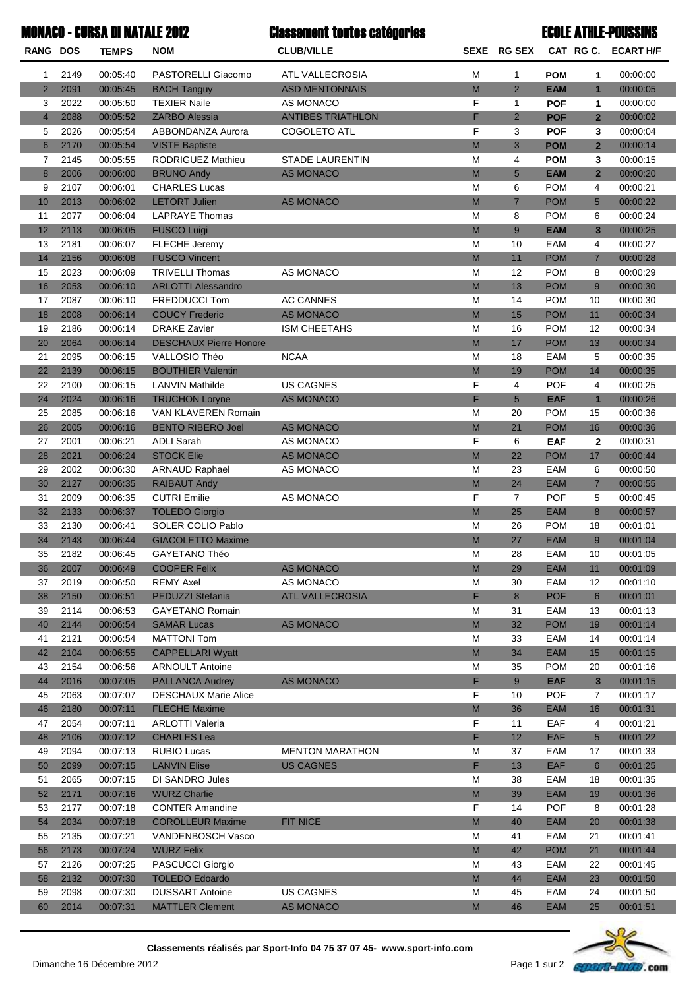| <b>MONACO - CURSA DI NATALE 2012</b> |              |                      | <b>Classement toutes catégories</b>    |                               | <b>ECOLE ATHLE-POUSSINS</b>                                                                                |                |                          |                         |                      |
|--------------------------------------|--------------|----------------------|----------------------------------------|-------------------------------|------------------------------------------------------------------------------------------------------------|----------------|--------------------------|-------------------------|----------------------|
| <b>RANG DOS</b>                      |              | <b>TEMPS</b>         | <b>NOM</b>                             | <b>CLUB/VILLE</b>             |                                                                                                            | SEXE RG SEX    |                          |                         | CAT RG C. ECART H/F  |
| 1                                    | 2149         | 00:05:40             | PASTORELLI Giacomo                     | <b>ATL VALLECROSIA</b>        | М                                                                                                          | 1              | <b>POM</b>               | 1                       | 00:00:00             |
| $\overline{2}$                       | 2091         | 00:05:45             | <b>BACH Tanguy</b>                     | <b>ASD MENTONNAIS</b>         | M                                                                                                          | $\overline{2}$ | <b>EAM</b>               | $\mathbf{1}$            | 00:00:05             |
| 3                                    | 2022         | 00:05:50             | <b>TEXIER Naile</b>                    | AS MONACO                     | F                                                                                                          | 1              | <b>POF</b>               | 1                       | 00:00:00             |
| $\overline{4}$                       | 2088         | 00:05:52             | <b>ZARBO Alessia</b>                   | <b>ANTIBES TRIATHLON</b>      | F                                                                                                          | $\overline{2}$ | <b>POF</b>               | $\overline{2}$          | 00:00:02             |
| 5                                    | 2026         | 00:05:54             | ABBONDANZA Aurora                      | <b>COGOLETO ATL</b>           | F                                                                                                          | 3              | <b>POF</b>               | 3                       | 00:00:04             |
| 6                                    | 2170         | 00:05:54             | <b>VISTE Baptiste</b>                  |                               | M                                                                                                          | 3              | <b>POM</b>               | $\overline{2}$          | 00:00:14             |
| $\overline{7}$                       | 2145         | 00:05:55             | <b>RODRIGUEZ Mathieu</b>               | <b>STADE LAURENTIN</b>        | M                                                                                                          | 4              | <b>POM</b>               | 3                       | 00:00:15             |
| 8                                    | 2006         | 00:06:00             | <b>BRUNO Andy</b>                      | <b>AS MONACO</b>              | M                                                                                                          | 5              | <b>EAM</b>               | $\overline{2}$          | 00:00:20             |
| 9                                    | 2107         | 00:06:01             | <b>CHARLES Lucas</b>                   |                               | M                                                                                                          | 6              | <b>POM</b>               | 4                       | 00:00:21             |
| 10                                   | 2013         | 00:06:02             | <b>LETORT Julien</b>                   | <b>AS MONACO</b>              | M                                                                                                          | $\overline{7}$ | <b>POM</b>               | $5\overline{)}$         | 00:00:22             |
| 11                                   | 2077         | 00:06:04             | <b>LAPRAYE Thomas</b>                  |                               | M                                                                                                          | 8              | <b>POM</b>               | 6                       | 00:00:24             |
| 12                                   | 2113         | 00:06:05             | <b>FUSCO Luigi</b>                     |                               | M                                                                                                          | 9              | <b>EAM</b>               | $\overline{\mathbf{3}}$ | 00:00:25             |
| 13                                   | 2181         | 00:06:07             | <b>FLECHE</b> Jeremy                   |                               | M                                                                                                          | 10             | EAM                      | 4                       | 00:00:27             |
| 14                                   | 2156         | 00:06:08             | <b>FUSCO Vincent</b>                   |                               | M                                                                                                          | 11             | <b>POM</b>               | $\overline{7}$          | 00:00:28             |
| 15                                   | 2023         | 00:06:09             | <b>TRIVELLI Thomas</b>                 | AS MONACO                     | M                                                                                                          | 12             | <b>POM</b>               | 8                       | 00:00:29             |
| 16                                   | 2053         | 00:06:10             | <b>ARLOTTI Alessandro</b>              |                               | M                                                                                                          | 13             | <b>POM</b>               | 9                       | 00:00:30             |
| 17                                   | 2087         | 00:06:10             | <b>FREDDUCCI Tom</b>                   | <b>AC CANNES</b>              | M                                                                                                          | 14             | <b>POM</b>               | 10                      | 00:00:30             |
| 18                                   | 2008         | 00:06:14             | <b>COUCY Frederic</b>                  | <b>AS MONACO</b>              | M                                                                                                          | 15             | <b>POM</b>               | 11                      | 00:00:34             |
| 19                                   | 2186         | 00:06:14             | <b>DRAKE Zavier</b>                    | <b>ISM CHEETAHS</b>           | M                                                                                                          | 16             | <b>POM</b>               | 12                      | 00:00:34             |
| 20                                   | 2064         | 00:06:14             | <b>DESCHAUX Pierre Honore</b>          |                               | M                                                                                                          | 17             | <b>POM</b>               | 13                      | 00:00:34             |
| 21                                   | 2095         | 00:06:15             | VALLOSIO Théo                          | <b>NCAA</b>                   | M                                                                                                          | 18             | EAM                      | 5                       | 00:00:35             |
| 22                                   | 2139         | 00:06:15             | <b>BOUTHIER Valentin</b>               |                               | M                                                                                                          | 19             | <b>POM</b>               | 14                      | 00:00:35             |
| 22                                   | 2100         | 00:06:15             | <b>LANVIN Mathilde</b>                 | <b>US CAGNES</b>              | F                                                                                                          | 4              | <b>POF</b>               | 4                       | 00:00:25             |
| 24                                   | 2024         | 00:06:16             | <b>TRUCHON Loryne</b>                  | <b>AS MONACO</b>              | F                                                                                                          | 5              | <b>EAF</b>               | $\mathbf{1}$            | 00:00:26             |
| 25                                   | 2085         | 00:06:16             | VAN KLAVEREN Romain                    |                               | M                                                                                                          | 20             | <b>POM</b>               | 15                      | 00:00:36             |
| 26                                   | 2005         | 00:06:16             | <b>BENTO RIBERO Joel</b>               | <b>AS MONACO</b>              | M                                                                                                          | 21             | <b>POM</b>               | 16                      | 00:00:36             |
| 27                                   | 2001<br>2021 | 00:06:21             | <b>ADLI Sarah</b><br><b>STOCK Elie</b> | AS MONACO<br><b>AS MONACO</b> | F<br>M                                                                                                     | 6<br>22        | <b>EAF</b><br><b>POM</b> | $\mathbf{2}$            | 00:00:31             |
| 28<br>29                             | 2002         | 00:06:24<br>00:06:30 | <b>ARNAUD Raphael</b>                  | AS MONACO                     | M                                                                                                          | 23             | EAM                      | 17<br>6                 | 00:00:44<br>00:00:50 |
| 30                                   | 2127         | 00:06:35             | <b>RAIBAUT Andy</b>                    |                               | M                                                                                                          | 24             | <b>EAM</b>               | $\overline{7}$          | 00:00:55             |
| 31                                   | 2009         | 00:06:35             | <b>CUTRI Emilie</b>                    | AS MONACO                     | F                                                                                                          | $\overline{7}$ | <b>POF</b>               | 5                       | 00:00:45             |
| 32                                   | 2133         | 00:06:37             | <b>TOLEDO Giorgio</b>                  |                               | M                                                                                                          | 25             | <b>EAM</b>               | 8                       | 00:00:57             |
| 33                                   | 2130         | 00:06:41             | <b>SOLER COLIO Pablo</b>               |                               | M                                                                                                          | 26             | <b>POM</b>               | 18                      | 00:01:01             |
| 34                                   | 2143         | 00:06:44             | <b>GIACOLETTO Maxime</b>               |                               | M                                                                                                          | 27             | <b>EAM</b>               | 9                       | 00:01:04             |
| 35                                   | 2182         | 00:06:45             | GAYETANO Théo                          |                               | M                                                                                                          | 28             | EAM                      | 10                      | 00:01:05             |
| 36                                   | 2007         | 00:06:49             | <b>COOPER Felix</b>                    | <b>AS MONACO</b>              | M                                                                                                          | 29             | <b>EAM</b>               | 11                      | 00:01:09             |
| 37                                   | 2019         | 00:06:50             | <b>REMY Axel</b>                       | AS MONACO                     | М                                                                                                          | 30             | EAM                      | 12                      | 00:01:10             |
| 38                                   | 2150         | 00:06:51             | <b>PEDUZZI Stefania</b>                | <b>ATL VALLECROSIA</b>        | F                                                                                                          | 8              | <b>POF</b>               | $6\phantom{1}6$         | 00:01:01             |
| 39                                   | 2114         | 00:06:53             | <b>GAYETANO Romain</b>                 |                               | М                                                                                                          | 31             | EAM                      | 13                      | 00:01:13             |
| 40                                   | 2144         | 00:06:54             | <b>SAMAR Lucas</b>                     | <b>AS MONACO</b>              | $\mathsf{M}% _{T}=\mathsf{M}_{T}\!\left( a,b\right) ,\ \mathsf{M}_{T}=\mathsf{M}_{T}\!\left( a,b\right) ,$ | 32             | <b>POM</b>               | 19                      | 00:01:14             |
| 41                                   | 2121         | 00:06:54             | <b>MATTONI Tom</b>                     |                               | М                                                                                                          | 33             | EAM                      | 14                      | 00:01:14             |
| 42                                   | 2104         | 00:06:55             | <b>CAPPELLARI Wyatt</b>                |                               | $\mathsf{M}% _{T}=\mathsf{M}_{T}\!\left( a,b\right) ,\ \mathsf{M}_{T}=\mathsf{M}_{T}\!\left( a,b\right) ,$ | 34             | <b>EAM</b>               | 15                      | 00:01:15             |
| 43                                   | 2154         | 00:06:56             | <b>ARNOULT Antoine</b>                 |                               | М                                                                                                          | 35             | <b>POM</b>               | 20                      | 00:01:16             |
| 44                                   | 2016         | 00:07:05             | <b>PALLANCA Audrey</b>                 | <b>AS MONACO</b>              | F                                                                                                          | 9              | <b>EAF</b>               | $\mathbf{3}$            | 00:01:15             |
| 45                                   | 2063         | 00:07:07             | <b>DESCHAUX Marie Alice</b>            |                               | F                                                                                                          | 10             | <b>POF</b>               | 7                       | 00:01:17             |
| 46                                   | 2180         | 00:07:11             | <b>FLECHE Maxime</b>                   |                               | $\mathsf{M}% _{T}=\mathsf{M}_{T}\!\left( a,b\right) ,\ \mathsf{M}_{T}=\mathsf{M}_{T}\!\left( a,b\right) ,$ | 36             | <b>EAM</b>               | 16                      | 00:01:31             |
| 47                                   | 2054         | 00:07:11             | <b>ARLOTTI Valeria</b>                 |                               | F                                                                                                          | 11             | EAF                      | 4                       | 00:01:21             |
| 48                                   | 2106         | 00:07:12             | <b>CHARLES Lea</b>                     |                               | F                                                                                                          | 12             | EAF                      | $5\overline{)}$         | 00:01:22             |
| 49                                   | 2094         | 00:07:13             | <b>RUBIO Lucas</b>                     | <b>MENTON MARATHON</b>        | M                                                                                                          | 37             | EAM                      | 17                      | 00:01:33             |
| 50                                   | 2099         | 00:07:15             | <b>LANVIN Elise</b>                    | <b>US CAGNES</b>              | F                                                                                                          | 13             | EAF                      | $6\phantom{1}6$         | 00:01:25             |
| 51                                   | 2065         | 00:07:15             | DI SANDRO Jules                        |                               | М                                                                                                          | 38             | EAM                      | 18                      | 00:01:35             |
| 52                                   | 2171         | 00:07:16             | <b>WURZ Charlie</b>                    |                               | $\mathsf{M}% _{T}=\mathsf{M}_{T}\!\left( a,b\right) ,\ \mathsf{M}_{T}=\mathsf{M}_{T}\!\left( a,b\right) ,$ | 39             | <b>EAM</b>               | 19                      | 00:01:36             |
| 53                                   | 2177         | 00:07:18             | <b>CONTER Amandine</b>                 |                               | F                                                                                                          | 14             | <b>POF</b>               | 8                       | 00:01:28             |
| 54                                   | 2034         | 00:07:18             | <b>COROLLEUR Maxime</b>                | FIT NICE                      | $\mathsf{M}% _{T}=\mathsf{M}_{T}\!\left( a,b\right) ,\ \mathsf{M}_{T}=\mathsf{M}_{T}\!\left( a,b\right) ,$ | 40             | <b>EAM</b>               | 20                      | 00:01:38             |
| 55                                   | 2135         | 00:07:21             | VANDENBOSCH Vasco                      |                               | М                                                                                                          | 41             | EAM                      | 21                      | 00:01:41             |
| 56                                   | 2173         | 00:07:24             | <b>WURZ Felix</b>                      |                               | $\mathsf{M}% _{T}=\mathsf{M}_{T}\!\left( a,b\right) ,\ \mathsf{M}_{T}=\mathsf{M}_{T}\!\left( a,b\right) ,$ | 42             | <b>POM</b>               | 21                      | 00:01:44             |
| 57                                   | 2126         | 00:07:25             | <b>PASCUCCI Giorgio</b>                |                               | М                                                                                                          | 43             | EAM                      | 22                      | 00:01:45             |
| 58                                   | 2132         | 00:07:30             | <b>TOLEDO Edoardo</b>                  |                               | M                                                                                                          | 44             | <b>EAM</b>               | 23                      | 00:01:50             |
| 59                                   | 2098         | 00:07:30             | <b>DUSSART Antoine</b>                 | US CAGNES                     | М                                                                                                          | 45             | EAM                      | 24                      | 00:01:50             |
| 60                                   | 2014         | 00:07:31             | <b>MATTLER Clement</b>                 | <b>AS MONACO</b>              | M                                                                                                          | 46             | <b>EAM</b>               | 25                      | 00:01:51             |